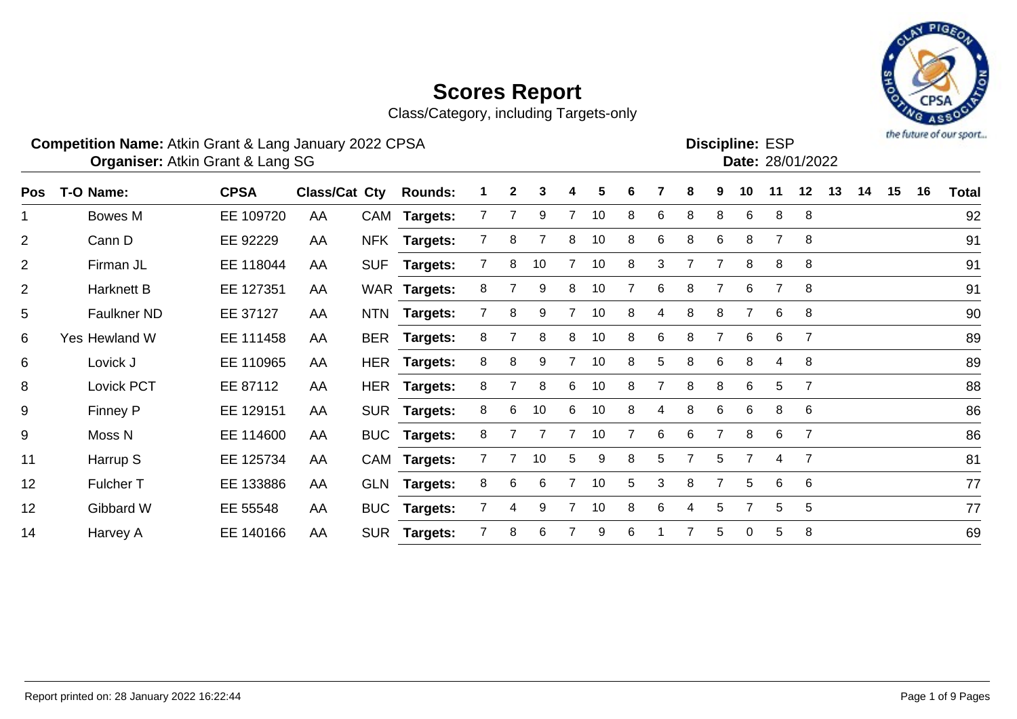Class/Category, including Targets-only



### **Competition Name:** Atkin Grant & Lang January 2022 CPSA **Example 2018** ESP **Discipline:** ESP

**Discipline: ESP<br>
<b>Date:** 28/01/2022

Atkin Grant & Lang SG 28/01/2022 **Organiser: Date:**

|     |                   |             |                      |            |                 |                | $\mathbf{2}$ |    |                | 5  | 6 |   |                |   |                | 11 |                 |    | 14 |    | 16 |              |
|-----|-------------------|-------------|----------------------|------------|-----------------|----------------|--------------|----|----------------|----|---|---|----------------|---|----------------|----|-----------------|----|----|----|----|--------------|
| Pos | T-O Name:         | <b>CPSA</b> | <b>Class/Cat Cty</b> |            | <b>Rounds:</b>  |                |              | 3  | 4              |    |   |   | 8              | 9 | 10             |    | 12              | 13 |    | 15 |    | <b>Total</b> |
|     | Bowes M           | EE 109720   | AA                   |            | CAM Targets:    | 7              |              | 9  |                | 10 | 8 | 6 | 8              | 8 | 6              | 8  | 8               |    |    |    |    | 92           |
| 2   | Cann D            | EE 92229    | AA                   | <b>NFK</b> | Targets:        |                | 8            |    | 8              | 10 | 8 | 6 | 8              | 6 | 8              |    | 8               |    |    |    |    | 91           |
| 2   | Firman JL         | EE 118044   | AA                   | <b>SUF</b> | Targets:        |                | 8            | 10 |                | 10 | 8 | 3 | 7              |   | 8              | 8  | 8               |    |    |    |    | 91           |
| 2   | <b>Harknett B</b> | EE 127351   | AA                   |            | WAR Targets:    | 8              |              | 9  | 8              | 10 |   | 6 | 8              |   | 6              |    | 8               |    |    |    |    | 91           |
| 5   | Faulkner ND       | EE 37127    | AA                   | <b>NTN</b> | <b>Targets:</b> |                | 8            | 9  |                | 10 | 8 | 4 | 8              | 8 |                | 6  | 8               |    |    |    |    | 90           |
| 6   | Yes Hewland W     | EE 111458   | AA                   | <b>BER</b> | <b>Targets:</b> | 8              |              | 8  | 8              | 10 | 8 | 6 | 8              |   | 6              | 6  |                 |    |    |    |    | 89           |
| 6   | Lovick J          | EE 110965   | AA                   |            | HER Targets:    | 8              | 8            | 9  |                | 10 | 8 | 5 | 8              | 6 | 8              | 4  | 8               |    |    |    |    | 89           |
| 8   | Lovick PCT        | EE 87112    | AA                   |            | HER Targets:    | 8              |              | 8  | 6              | 10 | 8 |   | 8              | 8 | 6              | 5  |                 |    |    |    |    | 88           |
| 9   | Finney P          | EE 129151   | AA                   |            | SUR Targets:    | 8              | 6            | 10 | 6              | 10 | 8 | 4 | 8              | 6 | 6              | 8  | 6               |    |    |    |    | 86           |
| 9   | Moss N            | EE 114600   | AA                   |            | BUC Targets:    | 8              |              |    |                | 10 | 7 | 6 | 6              | 7 | 8              | 6  | $\overline{7}$  |    |    |    |    | 86           |
| 11  | Harrup S          | EE 125734   | AA                   |            | CAM Targets:    |                | 7            | 10 | 5              | 9  | 8 | 5 | $\overline{7}$ | 5 | 7              | 4  | $\overline{7}$  |    |    |    |    | 81           |
| 12  | Fulcher T         | EE 133886   | AA                   |            | GLN Targets:    | 8              | 6            | 6  |                | 10 | 5 | 3 | 8              |   | 5              | 6  | 6               |    |    |    |    | 77           |
| 12  | Gibbard W         | EE 55548    | AA                   | <b>BUC</b> | <b>Targets:</b> | $\overline{7}$ | 4            | 9  | $\overline{7}$ | 10 | 8 | 6 | 4              | 5 | $\overline{7}$ | 5  | $5\overline{)}$ |    |    |    |    | 77           |
| 14  | Harvey A          | EE 140166   | AA                   | <b>SUR</b> | <b>Targets:</b> | $\overline{7}$ | 8            | 6  |                | 9  | 6 |   |                | 5 | 0              | 5  | 8               |    |    |    |    | 69           |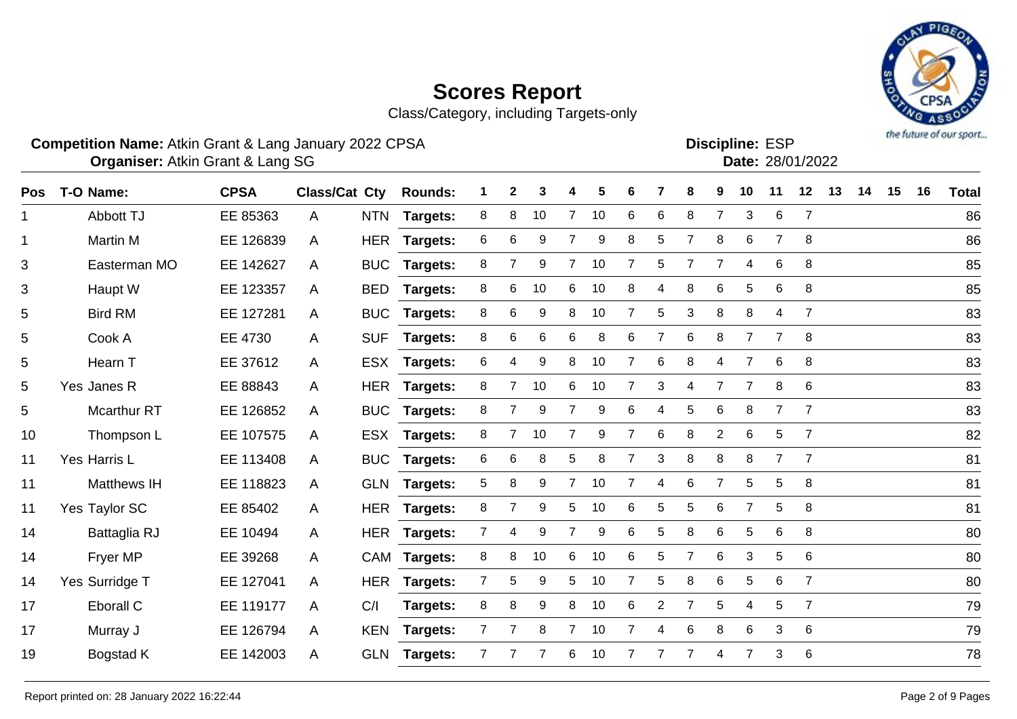Class/Category, including Targets-only



Atkin Grant & Lang SG 28/01/2022 **Organiser: Date:**

| Pos | T-O Name:          | <b>CPSA</b> | <b>Class/Cat Cty</b> |            | <b>Rounds:</b>  |                | $\mathbf{2}$   | 3  |                | 5                | 6              |                | 8              | 9              | 10             | 11             | 12              | 13 | 14 | 15 | 16 | <b>Total</b> |
|-----|--------------------|-------------|----------------------|------------|-----------------|----------------|----------------|----|----------------|------------------|----------------|----------------|----------------|----------------|----------------|----------------|-----------------|----|----|----|----|--------------|
| 1   | Abbott TJ          | EE 85363    | A                    |            | NTN Targets:    | 8              | 8              | 10 | $7^{\circ}$    | 10               | 6              | 6              | 8              | $\overline{7}$ | 3              | 6              | $\overline{7}$  |    |    |    |    | 86           |
| 1   | <b>Martin M</b>    | EE 126839   | $\mathsf{A}$         |            | HER Targets:    | 6              | 6              | 9  | $\overline{7}$ | $\boldsymbol{9}$ | 8              | 5              | $\overline{7}$ | 8              | 6              | $\overline{7}$ | 8               |    |    |    |    | 86           |
| 3   | Easterman MO       | EE 142627   | A                    | <b>BUC</b> | <b>Targets:</b> | 8              | 7              | 9  | $7^{\circ}$    | 10               | 7              | 5              | 7              | 7              | 4              | 6              | 8               |    |    |    |    | 85           |
| 3   | Haupt W            | EE 123357   | A                    | <b>BED</b> | <b>Targets:</b> | 8              | 6              | 10 | 6              | 10               | 8              | 4              | 8              | 6              | 5              | 6              | 8               |    |    |    |    | 85           |
| 5   | <b>Bird RM</b>     | EE 127281   | A                    | <b>BUC</b> | Targets:        | 8              | 6              | 9  | 8              | 10               | $\overline{7}$ | 5              | 3              | 8              | 8              | 4              | $\overline{7}$  |    |    |    |    | 83           |
| 5   | Cook A             | EE 4730     | A                    | <b>SUF</b> | Targets:        | 8              | 6              | 6  | 6              | 8                | 6              |                | 6              | 8              | $\overline{7}$ | $\overline{7}$ | 8               |    |    |    |    | 83           |
| 5   | Hearn T            | EE 37612    | A                    | <b>ESX</b> | <b>Targets:</b> | 6              | 4              | 9  | 8              | 10               | 7              | 6              | 8              | 4              | 7              | 6              | 8               |    |    |    |    | 83           |
| 5   | Yes Janes R        | EE 88843    | A                    |            | HER Targets:    | 8              | 7              | 10 | 6              | 10               | $\overline{7}$ | 3              | 4              | $\overline{7}$ | 7              | 8              | 6               |    |    |    |    | 83           |
| 5   | <b>Mcarthur RT</b> | EE 126852   | A                    | <b>BUC</b> | Targets:        | 8              | $\overline{7}$ | 9  | $\overline{7}$ | 9                | 6              | 4              | 5              | 6              | 8              | 7              | $\overline{7}$  |    |    |    |    | 83           |
| 10  | Thompson L         | EE 107575   | A                    |            | ESX Targets:    | 8              | 7              | 10 | $\overline{7}$ | 9                | 7              | 6              | 8              | $\overline{c}$ | 6              | 5              | $\overline{7}$  |    |    |    |    | 82           |
| 11  | Yes Harris L       | EE 113408   | A                    | <b>BUC</b> | <b>Targets:</b> | 6              | 6              | 8  | 5              | 8                | $\overline{7}$ | 3              | 8              | 8              | 8              | $\overline{7}$ | $\overline{7}$  |    |    |    |    | 81           |
| 11  | <b>Matthews IH</b> | EE 118823   | A                    |            | GLN Targets:    | 5              | 8              | 9  | $7^{\circ}$    | 10               | 7              | 4              | 6              | $\overline{7}$ | 5              | 5              | 8               |    |    |    |    | 81           |
| 11  | Yes Taylor SC      | EE 85402    | A                    | <b>HER</b> | <b>Targets:</b> | 8              | $\overline{7}$ | 9  | 5              | 10               | 6              | 5              | 5              | 6              | $\overline{7}$ | 5              | 8               |    |    |    |    | 81           |
| 14  | Battaglia RJ       | EE 10494    | A                    | <b>HER</b> | Targets:        | 7              | 4              | 9  | 7              | 9                | 6              | 5              | 8              | 6              | 5              | 6              | 8               |    |    |    |    | 80           |
| 14  | <b>Fryer MP</b>    | EE 39268    | A                    |            | CAM Targets:    | 8              | 8              | 10 | 6              | 10               | 6              | 5              | $\overline{7}$ | 6              | 3              | 5              | 6               |    |    |    |    | 80           |
| 14  | Yes Surridge T     | EE 127041   | A                    |            | HER Targets:    | 7 <sup>1</sup> | 5              | 9  | 5              | 10               | $\overline{7}$ | 5              | 8              | 6              | 5              | 6              | $\overline{7}$  |    |    |    |    | 80           |
| 17  | Eborall C          | EE 119177   | $\mathsf{A}$         | C/I        | <b>Targets:</b> | 8              | 8              | 9  | 8              | 10               | 6              | $\overline{2}$ | $\overline{7}$ | 5              | 4              | 5              | $\overline{7}$  |    |    |    |    | 79           |
| 17  | Murray J           | EE 126794   | $\mathsf{A}$         | <b>KEN</b> | <b>Targets:</b> | $\mathbf{7}$   | 7              | 8  | $7^{\circ}$    | 10               | 7              | 4              | $\,6$          | 8              | 6              | 3              | 6               |    |    |    |    | 79           |
| 19  | Bogstad K          | EE 142003   | A                    | <b>GLN</b> | <b>Targets:</b> | 7              |                | 7  | 6              | 10               | 7              |                | $\overline{7}$ | 4              | $\overline{7}$ | 3              | $6\phantom{1}6$ |    |    |    |    | 78           |

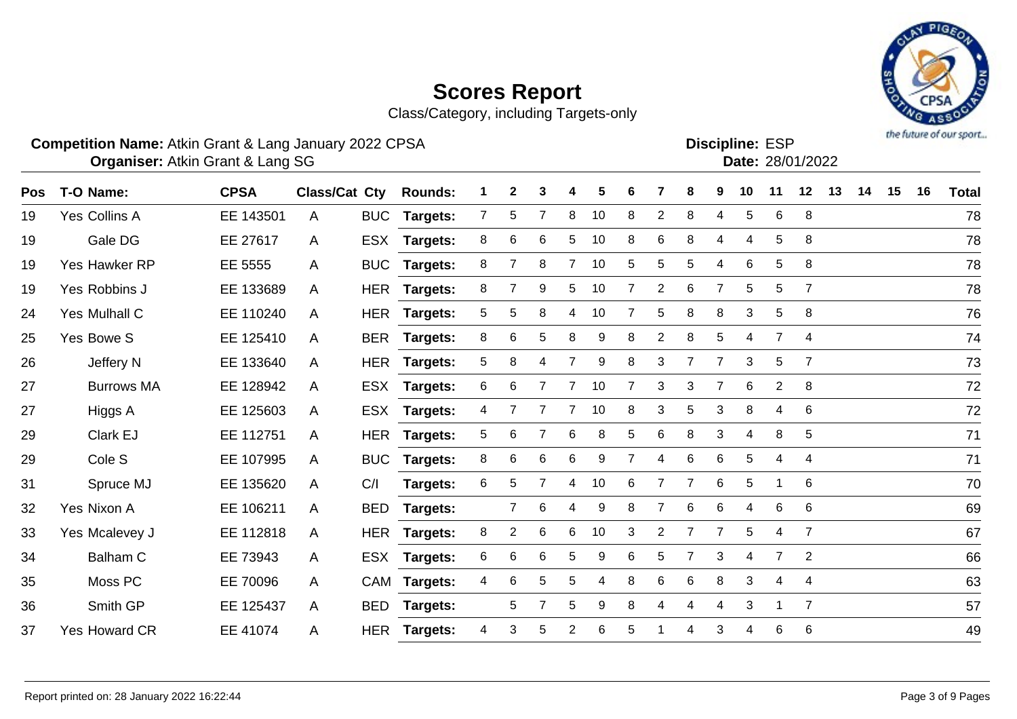Class/Category, including Targets-only

### **Competition Name:** Atkin Grant & Lang January 2022 CPSA **Example 2018** ESP **Discipline:** ESP

Atkin Grant & Lang SG 28/01/2022 **Organiser: Date:**

| <b>Pos</b> | T-O Name:            | <b>CPSA</b> | Class/Cat Cty |            | <b>Rounds:</b>  |                |                | 3               |                | 5  | 6              |                | 8              | 9              | 10              | 11             | 12             | 13 | 14 | 15 | 16 | <b>Total</b> |
|------------|----------------------|-------------|---------------|------------|-----------------|----------------|----------------|-----------------|----------------|----|----------------|----------------|----------------|----------------|-----------------|----------------|----------------|----|----|----|----|--------------|
| 19         | <b>Yes Collins A</b> | EE 143501   | A             | <b>BUC</b> | Targets:        | $\overline{7}$ | 5              |                 | 8              | 10 | 8              | $\overline{2}$ | 8              | 4              | 5               | 6              | 8              |    |    |    |    | 78           |
| 19         | Gale DG              | EE 27617    | A             | ESX        | Targets:        | 8              | 6              | 6               | 5              | 10 | 8              | 6              | 8              | 4              | 4               | 5              | 8              |    |    |    |    | 78           |
| 19         | Yes Hawker RP        | EE 5555     | A             |            | BUC Targets:    | 8              | $\overline{7}$ | 8               | $7^{\circ}$    | 10 | 5              | 5              | 5              | 4              | 6               | 5              | 8              |    |    |    |    | 78           |
| 19         | Yes Robbins J        | EE 133689   | $\mathsf{A}$  |            | HER Targets:    | 8              | $\overline{7}$ | 9               | 5              | 10 | 7              | $\overline{2}$ | 6              | $\overline{7}$ | $5\phantom{.0}$ | 5              | $\overline{7}$ |    |    |    |    | 78           |
| 24         | Yes Mulhall C        | EE 110240   | $\mathsf{A}$  |            | HER Targets:    | 5              | 5              | 8               | $\overline{4}$ | 10 | $\overline{7}$ | 5              | 8              | 8              | 3               | 5              | 8              |    |    |    |    | 76           |
| 25         | Yes Bowe S           | EE 125410   | A             |            | BER Targets:    | 8              | 6              | 5               | 8              | 9  | 8              | $\overline{2}$ | 8              | 5              | 4               | $\overline{7}$ | 4              |    |    |    |    | 74           |
| 26         | Jeffery N            | EE 133640   | $\mathsf{A}$  |            | HER Targets:    | 5              | 8              | 4               | 7              | 9  | 8              | 3              | 7              | 7              | 3               | 5              | $\overline{7}$ |    |    |    |    | 73           |
| 27         | <b>Burrows MA</b>    | EE 128942   | A             |            | ESX Targets:    | 6              | 6              | $\overline{7}$  | $\overline{7}$ | 10 | 7              | 3              | 3              | $\overline{7}$ | 6               | $\overline{2}$ | 8              |    |    |    |    | 72           |
| 27         | Higgs A              | EE 125603   | $\mathsf{A}$  |            | ESX Targets:    | 4              | 7              | 7               | $\overline{7}$ | 10 | 8              | 3              | $\,$ 5 $\,$    | 3              | 8               | 4              | 6              |    |    |    |    | 72           |
| 29         | Clark EJ             | EE 112751   | A             |            | HER Targets:    | 5              | 6              | $\overline{7}$  | 6              | 8  | 5              | 6              | 8              | 3              | 4               | 8              | 5              |    |    |    |    | 71           |
| 29         | Cole <sub>S</sub>    | EE 107995   | $\mathsf{A}$  | <b>BUC</b> | Targets:        | 8              | 6              | 6               | 6              | 9  | 7              | 4              | 6              | 6              | 5               | 4              | 4              |    |    |    |    | 71           |
| 31         | Spruce MJ            | EE 135620   | $\mathsf{A}$  | C/I        | Targets:        | 6              | 5              | 7               | 4              | 10 | 6              |                | 7              | 6              | 5               | 1              | 6              |    |    |    |    | 70           |
| 32         | Yes Nixon A          | EE 106211   | A             | <b>BED</b> | Targets:        |                | $\overline{7}$ | 6               | 4              | 9  | 8              |                | 6              | 6              | 4               | 6              | 6              |    |    |    |    | 69           |
| 33         | Yes Mcalevey J       | EE 112818   | $\mathsf{A}$  |            | HER Targets:    | 8              | $\overline{2}$ | $6\phantom{1}6$ | 6              | 10 | 3              | $\overline{2}$ | $\overline{7}$ | $\overline{7}$ | 5               | 4              | $\overline{7}$ |    |    |    |    | 67           |
| 34         | Balham C             | EE 73943    | A             |            | ESX Targets:    | 6              | 6              | $6\phantom{1}6$ | 5              | 9  | 6              | 5              | $\overline{7}$ | 3              | 4               | $\overline{7}$ | 2              |    |    |    |    | 66           |
| 35         | Moss PC              | EE 70096    | A             |            | CAM Targets:    | 4              | 6              | 5               | 5              | 4  | 8              | 6              | 6              | 8              | 3               | 4              | 4              |    |    |    |    | 63           |
| 36         | Smith GP             | EE 125437   | $\mathsf{A}$  | <b>BED</b> | <b>Targets:</b> |                | 5              | $\overline{7}$  | 5              | 9  | 8              |                | 4              | 4              | 3               |                | $\overline{7}$ |    |    |    |    | 57           |
| 37         | <b>Yes Howard CR</b> | EE 41074    | A             | <b>HER</b> | <b>Targets:</b> | 4              | 3              | 5               | 2              | 6  | 5              |                | 4              | 3              | 4               | 6              | 6              |    |    |    |    | 49           |
|            |                      |             |               |            |                 |                |                |                 |                |    |                |                |                |                |                 |                |                |    |    |    |    |              |

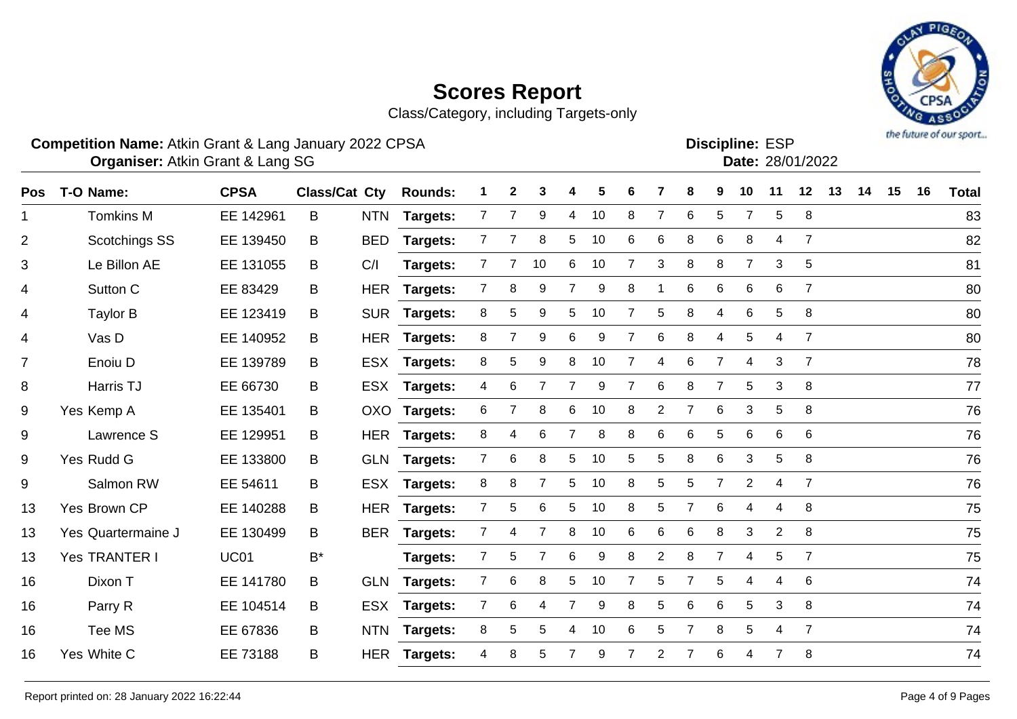Class/Category, including Targets-only

### **Competition Name:** Atkin Grant & Lang January 2022 CPSA **Example 2018** ESP **Discipline:** ESP

Atkin Grant & Lang SG 28/01/2022 **Organiser: Date:**

| T-O Name:          | <b>CPSA</b> |       |            | <b>Rounds:</b>       | 1                      | $\mathbf{2}$   | 3                | 4              | 5  | 6 |                | 8              | 9              | 10              | 11             | 12             | 13 | 14 | 15 | 16 | <b>Total</b> |
|--------------------|-------------|-------|------------|----------------------|------------------------|----------------|------------------|----------------|----|---|----------------|----------------|----------------|-----------------|----------------|----------------|----|----|----|----|--------------|
| <b>Tomkins M</b>   | EE 142961   | B     | <b>NTN</b> | Targets:             | $\overline{7}$         | $\overline{7}$ | 9                | $\overline{4}$ | 10 | 8 | $\overline{7}$ | 6              | 5              | $\overline{7}$  | 5              | 8              |    |    |    |    | 83           |
| Scotchings SS      | EE 139450   | B     | <b>BED</b> | Targets:             | 7                      |                | 8                | 5              | 10 | 6 | 6              | 8              | 6              | 8               | 4              | $\overline{7}$ |    |    |    |    | 82           |
| Le Billon AE       | EE 131055   | B     | C/I        | Targets:             | 7                      |                | 10               | 6              | 10 | 7 | 3              | 8              | 8              | $\overline{7}$  | 3              | 5              |    |    |    |    | 81           |
| Sutton C           | EE 83429    | B     | <b>HER</b> | <b>Targets:</b>      | $\mathbf{7}$           | 8              | 9                | 7              | 9  | 8 |                | 6              | 6              | 6               | 6              | $\overline{7}$ |    |    |    |    | 80           |
| Taylor B           | EE 123419   | B     | <b>SUR</b> | Targets:             | 8                      | 5              | 9                | 5              | 10 |   | 5              | 8              | 4              | 6               | 5              | 8              |    |    |    |    | 80           |
| Vas D              | EE 140952   | B     | <b>HER</b> | Targets:             | 8                      |                | $\boldsymbol{9}$ | 6              | 9  | 7 | 6              | 8              | 4              | 5               | 4              | $\overline{7}$ |    |    |    |    | 80           |
| Enoiu D            | EE 139789   | B     | <b>ESX</b> | Targets:             | 8                      | 5              | 9                | 8              | 10 | 7 | 4              | 6              | $\overline{7}$ | 4               | 3              | $\overline{7}$ |    |    |    |    | 78           |
| Harris TJ          | EE 66730    | В     | <b>ESX</b> | <b>Targets:</b>      | 4                      | 6              | 7                | 7              | 9  | 7 | 6              | 8              | $\overline{7}$ | $5\phantom{.0}$ | 3              | 8              |    |    |    |    | 77           |
| Yes Kemp A         | EE 135401   | B     |            | <b>Targets:</b>      | 6                      | $\overline{7}$ | 8                | 6              | 10 | 8 | $\overline{2}$ | $\overline{7}$ | 6              | 3               | 5              | 8              |    |    |    |    | 76           |
| Lawrence S         | EE 129951   | B     | <b>HER</b> | <b>Targets:</b>      | 8                      | 4              | 6                | 7              | 8  | 8 | 6              | 6              | 5              | 6               | 6              | 6              |    |    |    |    | 76           |
| Yes Rudd G         | EE 133800   | B     | <b>GLN</b> |                      | $\mathbf{7}$           | 6              | 8                | 5              | 10 | 5 | 5              | 8              | 6              | 3               | 5              | 8              |    |    |    |    | 76           |
| Salmon RW          | EE 54611    | B     | <b>ESX</b> | <b>Targets:</b>      | 8                      | 8              | $\overline{7}$   | 5              | 10 | 8 | 5              | 5              | 7              | $\overline{2}$  | $\overline{4}$ | $\overline{7}$ |    |    |    |    | 76           |
| Yes Brown CP       | EE 140288   | B     | <b>HER</b> | Targets:             | $\mathbf{7}$           | 5              | 6                | 5              | 10 | 8 | 5              | 7              | 6              | 4               | 4              | 8              |    |    |    |    | 75           |
| Yes Quartermaine J | EE 130499   | B     | <b>BER</b> | Targets:             | 7                      | 4              | $\overline{7}$   | 8              | 10 | 6 | 6              | 6              | 8              | 3               | $\mathbf{2}$   | 8              |    |    |    |    | 75           |
| Yes TRANTER I      | <b>UC01</b> | $B^*$ |            | Targets:             | $\overline{7}$         | 5              | $\overline{7}$   | 6              | 9  | 8 | $\overline{2}$ | 8              | $\overline{7}$ | 4               | 5              | $\overline{7}$ |    |    |    |    | 75           |
| Dixon T            | EE 141780   | B     | <b>GLN</b> | <b>Targets:</b>      | $\mathbf{7}$           | 6              | 8                | 5              | 10 | 7 | 5              | 7              | 5              | 4               | 4              | 6              |    |    |    |    | 74           |
| Parry R            | EE 104514   | B     | <b>ESX</b> | Targets:             | 7                      | 6              | 4                | $\overline{7}$ | 9  | 8 | 5              | $\,6$          | 6              | 5               | 3              | 8              |    |    |    |    | 74           |
| Tee MS             | EE 67836    | B     | <b>NTN</b> | <b>Targets:</b>      | 8                      | 5              | 5                | 4              | 10 | 6 | 5              | $\overline{7}$ | 8              | 5               | 4              | $\overline{7}$ |    |    |    |    | 74           |
| Yes White C        | EE 73188    | B     | <b>HER</b> | <b>Targets:</b>      | 4                      | 8              | 5                |                | 9  |   | $\overline{2}$ | $\overline{7}$ | 6              | 4               | $\overline{7}$ | 8              |    |    |    |    | 74           |
|                    |             |       |            | <b>Class/Cat Cty</b> | OXO<br><b>Targets:</b> |                |                  |                |    |   |                |                |                |                 |                |                |    |    |    |    |              |

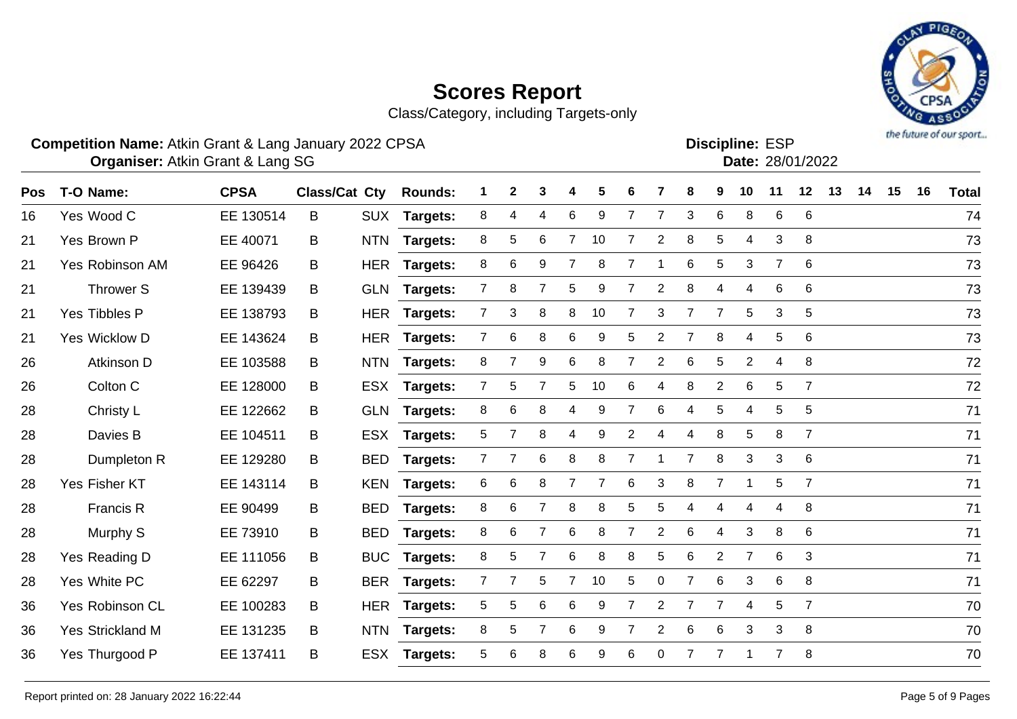Class/Category, including Targets-only



#### **Competition Name:** Atkin Grant & Lang January 2022 CPSA **Example 2018** ESP **Discipline:** ESP

Atkin Grant & Lang SG 28/01/2022 **Organiser: Date:**

**Discipline:**

| <b>Pos</b> | T-O Name:               | <b>CPSA</b> | Class/Cat Cty |            | <b>Rounds:</b>  | 1              | $\mathbf{2}$   | 3              |                | 5  | 6              |                | 8              | 9              | 10             | 11             | 12             | 13 | 14 | 15 | 16 | <b>Total</b> |
|------------|-------------------------|-------------|---------------|------------|-----------------|----------------|----------------|----------------|----------------|----|----------------|----------------|----------------|----------------|----------------|----------------|----------------|----|----|----|----|--------------|
| 16         | Yes Wood C              | EE 130514   | B             | <b>SUX</b> | <b>Targets:</b> | 8              | 4              | 4              | 6              | 9  | $\overline{7}$ | $\overline{7}$ | 3              | 6              | 8              | 6              | 6              |    |    |    |    | 74           |
| 21         | Yes Brown P             | EE 40071    | B             | <b>NTN</b> | <b>Targets:</b> | 8              | 5              | 6              | $\overline{7}$ | 10 | 7              | 2              | 8              | 5              | 4              | 3              | 8              |    |    |    |    | 73           |
| 21         | Yes Robinson AM         | EE 96426    | B             | <b>HER</b> | Targets:        | 8              | 6              | 9              | $\overline{7}$ | 8  | 7              |                | 6              | 5              | 3              | $\overline{7}$ | 6              |    |    |    |    | 73           |
| 21         | <b>Thrower S</b>        | EE 139439   | B             | <b>GLN</b> | <b>Targets:</b> | $\overline{7}$ | 8              | $\overline{7}$ | 5              | 9  | 7              | $\overline{2}$ | 8              | 4              | 4              | 6              | 6              |    |    |    |    | 73           |
| 21         | Yes Tibbles P           | EE 138793   | B             | <b>HER</b> | <b>Targets:</b> | $\overline{7}$ | 3              | 8              | 8              | 10 |                | 3              | 7              |                | 5              | 3              | 5              |    |    |    |    | 73           |
| 21         | Yes Wicklow D           | EE 143624   | B             | <b>HER</b> | Targets:        | 7              | 6              | 8              | 6              | 9  | 5              | 2              |                | 8              | 4              | 5              | 6              |    |    |    |    | 73           |
| 26         | Atkinson D              | EE 103588   | B             | <b>NTN</b> | Targets:        | 8              | $\overline{7}$ | 9              | 6              | 8  | $\overline{7}$ | $\overline{c}$ | 6              | 5              | $\overline{2}$ | 4              | 8              |    |    |    |    | 72           |
| 26         | Colton C                | EE 128000   | B             | <b>ESX</b> | <b>Targets:</b> | $\overline{7}$ | 5              | 7              | 5              | 10 | 6              | 4              | 8              | $\overline{2}$ | 6              | 5              | $\overline{7}$ |    |    |    |    | 72           |
| 28         | Christy L               | EE 122662   | B             | <b>GLN</b> | <b>Targets:</b> | 8              | 6              | 8              | 4              | 9  | 7              | 6              | 4              | 5              | 4              | 5              | 5              |    |    |    |    | 71           |
| 28         | Davies B                | EE 104511   | B             | <b>ESX</b> | <b>Targets:</b> | 5              |                | 8              | 4              | 9  | $\overline{2}$ | 4              | 4              | 8              | 5              | 8              | $\overline{7}$ |    |    |    |    | 71           |
| 28         | Dumpleton R             | EE 129280   | B             | <b>BED</b> | Targets:        | $\overline{7}$ | 7              | 6              | 8              | 8  | $\overline{7}$ |                | $\overline{7}$ | 8              | 3              | 3              | 6              |    |    |    |    | 71           |
| 28         | Yes Fisher KT           | EE 143114   | B             | <b>KEN</b> | <b>Targets:</b> | 6              | 6              | 8              |                |    | 6              | 3              | 8              | 7              |                | 5              | $\overline{7}$ |    |    |    |    | 71           |
| 28         | Francis R               | EE 90499    | B             | <b>BED</b> | Targets:        | 8              | 6              |                | 8              | 8  | 5              | 5              | 4              | 4              | 4              | 4              | 8              |    |    |    |    | 71           |
| 28         | Murphy S                | EE 73910    | B             | <b>BED</b> | Targets:        | 8              | 6              | 7              | 6              | 8  | $\overline{7}$ | $\overline{c}$ | 6              | 4              | 3              | 8              | 6              |    |    |    |    | 71           |
| 28         | Yes Reading D           | EE 111056   | B             | <b>BUC</b> | <b>Targets:</b> | 8              | 5              | 7              | 6              | 8  | 8              | 5              | $\,6$          | $\overline{2}$ | $\overline{7}$ | 6              | $\sqrt{3}$     |    |    |    |    | 71           |
| 28         | Yes White PC            | EE 62297    | B             | <b>BER</b> | <b>Targets:</b> | $\mathbf{7}$   |                | 5              | $\overline{7}$ | 10 | 5              | 0              | 7              | 6              | 3              | 6              | 8              |    |    |    |    | 71           |
| 36         | Yes Robinson CL         | EE 100283   | B             | <b>HER</b> | Targets:        | 5              | 5              | 6              | 6              | 9  | 7              | $\overline{2}$ | 7              | $\overline{7}$ | 4              | 5              | $\overline{7}$ |    |    |    |    | 70           |
| 36         | <b>Yes Strickland M</b> | EE 131235   | B             | <b>NTN</b> | Targets:        | 8              | 5              | 7              | 6              | 9  | 7              | $\overline{2}$ | 6              | 6              | 3              | 3              | 8              |    |    |    |    | 70           |
| 36         | Yes Thurgood P          | EE 137411   | B             | <b>ESX</b> | <b>Targets:</b> | 5              | 6              | 8              | 6              | 9  | 6              | 0              |                | 7              |                | $\overline{7}$ | 8              |    |    |    |    | 70           |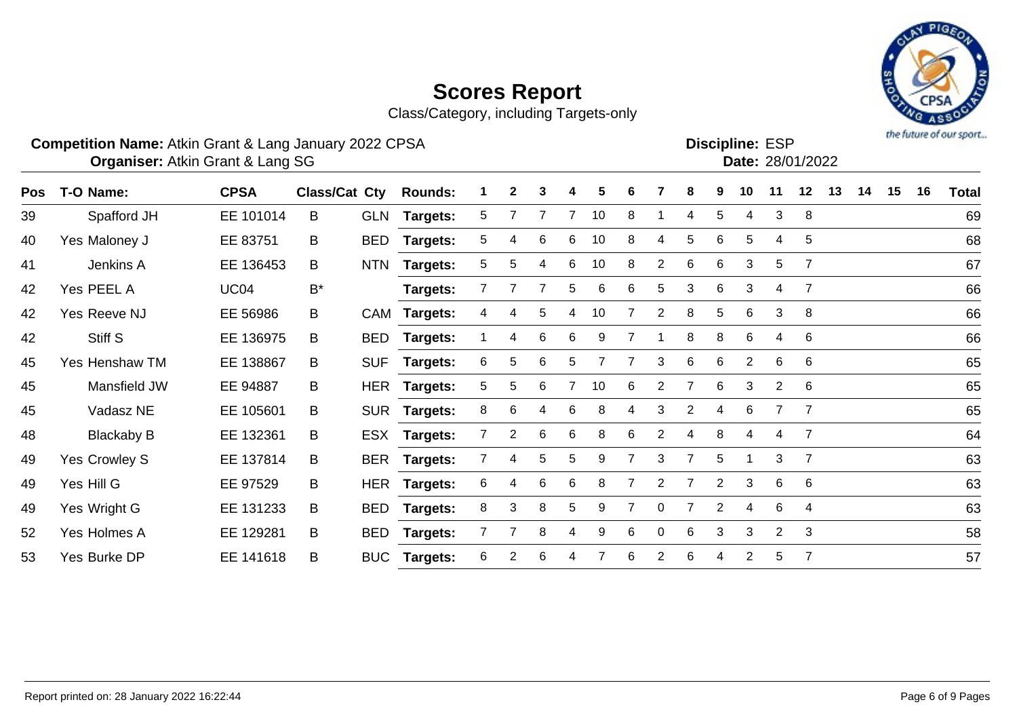Class/Category, including Targets-only



### **Competition Name:** Atkin Grant & Lang January 2022 CPSA **Example 2018** ESP **Discipline:** ESP

**Discipline:**

|     | <b>Organiser: Atkin Grant &amp; Lang SG</b> |             |       |            |                              |   |              |   |   |    |   |                |              |   |    |    | Date: 28/01/2022 |    |    |    |    |              |
|-----|---------------------------------------------|-------------|-------|------------|------------------------------|---|--------------|---|---|----|---|----------------|--------------|---|----|----|------------------|----|----|----|----|--------------|
| Pos | T-O Name:                                   | <b>CPSA</b> |       |            | <b>Class/Cat Cty Rounds:</b> |   | $\mathbf{2}$ | 3 | 4 | 5. | 6 |                | 8            | 9 | 10 | 11 | 12 <sup>1</sup>  | 13 | 14 | 15 | 16 | <b>Total</b> |
| 39  | Spafford JH                                 | EE 101014   | B     | <b>GLN</b> | Targets:                     | 5 |              |   |   | 10 | 8 |                | 4            | 5 | 4  | 3  | 8                |    |    |    |    | 69           |
| 40  | Yes Maloney J                               | EE 83751    | B     | BED        | Targets:                     | 5 | 4            | 6 | 6 | 10 | 8 | 4              | 5            | 6 | 5. |    | 5 <sub>5</sub>   |    |    |    |    | 68           |
| 41  | Jenkins A                                   | EE 136453   | B     | <b>NTN</b> | Targets:                     | 5 | 5.           | 4 | 6 | 10 | 8 | $\overline{2}$ | 6            | 6 | 3  | 5  |                  |    |    |    |    | 67           |
| 42  | Yes PEEL A                                  | <b>UC04</b> | $B^*$ |            | Targets:                     |   |              |   | 5 | 6  | 6 | 5 <sup>5</sup> | $\mathbf{3}$ | 6 | 3  |    |                  |    |    |    |    | 66           |
| 42  | Yes Reeve NJ                                | EE 56986    | B     |            | CAM Targets:                 | 4 | 4            | 5 | 4 | 10 |   | 2              | 8            | 5 | 6  | 3  | - 8              |    |    |    |    | 66           |
| 42  | Stiff S                                     | EE 136975   | B     | BED        | Targets:                     |   | 4            | 6 | 6 | 9  |   |                | 8            | 8 | 6  |    | - 6              |    |    |    |    | 66           |
| 45  | Yes Henshaw TM                              | EE 138867   | B     | <b>SUF</b> | Targets:                     | 6 | 5.           | 6 |   |    |   | 3              | 6            | 6 | 2  | -6 | - 6              |    |    |    |    | 65           |

| 42 | Yes Reeve NJ      | EE 56986  | B                | CAM Targets:    | 4  | 4 | 5 | 4 | 10 |    | 2              | 8  | 5             | 6              | 3           | - 8             | 66 |
|----|-------------------|-----------|------------------|-----------------|----|---|---|---|----|----|----------------|----|---------------|----------------|-------------|-----------------|----|
| 42 | Stiff S           | EE 136975 | B<br>BED         | <b>Targets:</b> |    | 4 | 6 | 6 | 9  |    |                |    | 8             | 6              | 4           | 6               | 66 |
| 45 | Yes Henshaw TM    | EE 138867 | <b>SUF</b><br>B. | Targets:        | 6. | 5 | 6 | 5 |    |    | 3              | 6  | 6             | 2              | 6           | $6\overline{6}$ | 65 |
| 45 | Mansfield JW      | EE 94887  | B                | HER Targets:    | 5. | 5 | 6 |   | 10 | 6  |                |    | 6             | 3              | 2           | $6\overline{6}$ | 65 |
| 45 | Vadasz NE         | EE 105601 | B                | SUR Targets:    | 8  | 6 | 4 | 6 | 8  | 4  | 3              | 2  | 4             | 6              |             |                 | 65 |
| 48 | <b>Blackaby B</b> | EE 132361 | B                | ESX Targets:    |    | 2 | 6 | 6 | 8  | 6  | $\overline{2}$ | 4  | 8             | 4              | 4           |                 | 64 |
| 49 | Yes Crowley S     | EE 137814 | B                | BER Targets:    |    | 4 | 5 | 5 | 9  |    | 3              |    | 5             |                | 3           |                 | 63 |
| 49 | Yes Hill G        | EE 97529  | B                | HER Targets:    | 6  |   | 6 | 6 | 8  |    | 2              |    | 2             | 3              | 6           | $6\overline{6}$ | 63 |
| 49 | Yes Wright G      | EE 131233 | B<br>BED         | <b>Targets:</b> | 8  | 3 | 8 | 5 | 9  |    | 0              |    | $\mathcal{P}$ | 4              | 6           | -4              | 63 |
| 52 | Yes Holmes A      | EE 129281 | B<br>BED         | <b>Targets:</b> |    |   | 8 | 4 | 9  | 6. | 0              | 6. | 3             | 3              | $2^{\circ}$ | $\mathbf{3}$    | 58 |
| 53 | Yes Burke DP      | EE 141618 | B.               | BUC Targets:    | 6  |   | 6 |   |    | 6. |                | 6  | 4             | $\overline{2}$ | 5           |                 | 57 |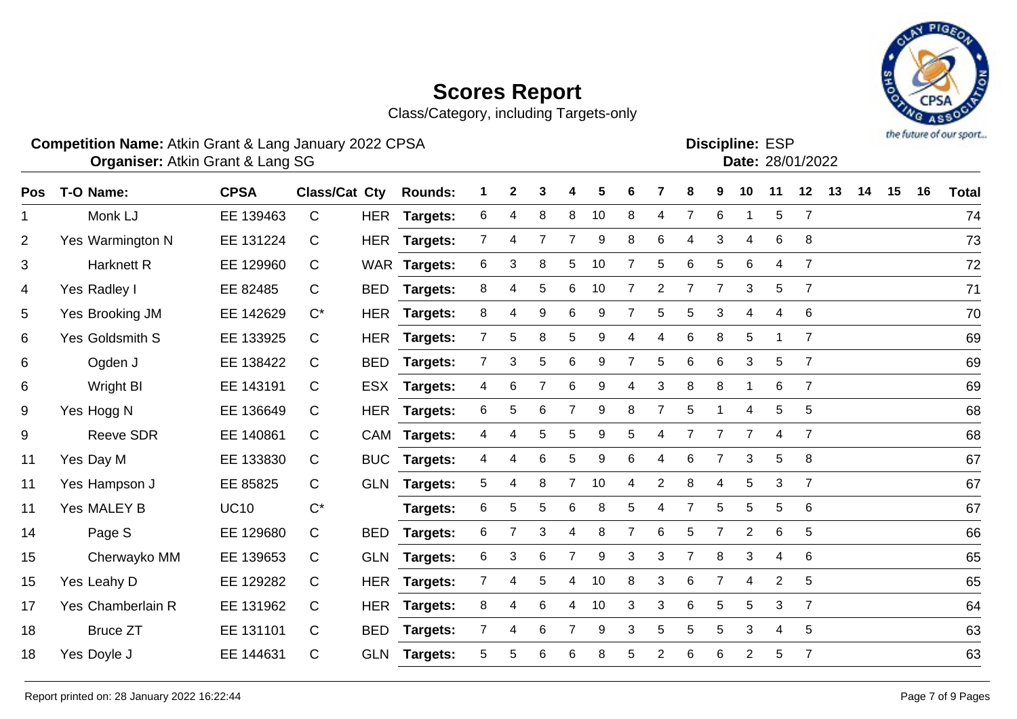Class/Category, including Targets-only

### **Competition Name:** Atkin Grant & Lang January 2022 CPSA **Example 2018** ESP **Discipline:** ESP

Atkin Grant & Lang SG 28/01/2022 **Organiser: Date:**

| T-O Name:         | <b>CPSA</b> |              |            | <b>Rounds:</b>       | 1                   | $\mathbf{2}$   | 3              |                | 5  | 6 |                | 8              | 9              | 10             | 11             | 12             | 13 | 14 | 15 | 16 | <b>Total</b> |
|-------------------|-------------|--------------|------------|----------------------|---------------------|----------------|----------------|----------------|----|---|----------------|----------------|----------------|----------------|----------------|----------------|----|----|----|----|--------------|
| Monk LJ           | EE 139463   | $\mathsf{C}$ | <b>HER</b> | <b>Targets:</b>      | 6                   | 4              | 8              | 8              | 10 | 8 | $\overline{4}$ | $\overline{7}$ | 6              |                | 5              | $\overline{7}$ |    |    |    |    | 74           |
| Yes Warmington N  | EE 131224   | C            | <b>HER</b> | <b>Targets:</b>      | 7                   | 4              | $\overline{7}$ | $\overline{7}$ | 9  | 8 | 6              | 4              | 3              | 4              | 6              | 8              |    |    |    |    | 73           |
| Harknett R        | EE 129960   | $\mathsf{C}$ |            |                      | 6                   | 3              | 8              | 5              | 10 | 7 | 5              | 6              | 5              | 6              | 4              | $\overline{7}$ |    |    |    |    | 72           |
| Yes Radley I      | EE 82485    | C            | <b>BED</b> | <b>Targets:</b>      | 8                   | 4              | 5              | 6              | 10 | 7 | $\overline{2}$ | $\overline{7}$ | $\overline{7}$ | 3              | 5              | $\overline{7}$ |    |    |    |    | 71           |
| Yes Brooking JM   | EE 142629   | $C^*$        | <b>HER</b> | Targets:             | 8                   | 4              | 9              | 6              | 9  |   | 5              | 5              | 3              | 4              | 4              | 6              |    |    |    |    | 70           |
| Yes Goldsmith S   | EE 133925   | $\mathsf{C}$ | <b>HER</b> | Targets:             | $7^{\circ}$         | 5              | 8              | 5              | 9  | 4 | 4              | 6              | 8              | 5              |                | $\overline{7}$ |    |    |    |    | 69           |
| Ogden J           | EE 138422   | C            | <b>BED</b> | Targets:             | 7                   | 3              | $\sqrt{5}$     | 6              | 9  | 7 | 5              | $\,6$          | 6              | 3              | 5              | $\overline{7}$ |    |    |    |    | 69           |
| <b>Wright BI</b>  | EE 143191   | C            | <b>ESX</b> | <b>Targets:</b>      | 4                   | 6              | $\overline{7}$ | 6              | 9  | 4 | 3              | 8              | 8              |                | 6              | $\overline{7}$ |    |    |    |    | 69           |
| Yes Hogg N        | EE 136649   | C            | <b>HER</b> | <b>Targets:</b>      | 6                   | 5              | 6              | $\overline{7}$ | 9  | 8 | $\overline{7}$ | $\sqrt{5}$     |                | 4              | 5              | 5              |    |    |    |    | 68           |
| <b>Reeve SDR</b>  | EE 140861   | C            |            | <b>Targets:</b>      | 4                   | 4              | 5              | 5              | 9  | 5 | 4              | 7              | $\overline{7}$ | $\overline{7}$ | 4              | $\overline{7}$ |    |    |    |    | 68           |
| Yes Day M         | EE 133830   | $\mathsf{C}$ | <b>BUC</b> | <b>Targets:</b>      | 4                   | 4              | 6              | 5              | 9  | 6 | 4              | 6              | $\overline{7}$ | 3              | 5              | 8              |    |    |    |    | 67           |
| Yes Hampson J     | EE 85825    | C            | <b>GLN</b> | Targets:             | 5                   | 4              | 8              | $\overline{7}$ | 10 | 4 | $\overline{2}$ | 8              | 4              | 5              | 3              | $\overline{7}$ |    |    |    |    | 67           |
| Yes MALEY B       | <b>UC10</b> | $C^*$        |            | Targets:             | 6                   | 5              | 5              | 6              | 8  | 5 | 4              | $\overline{7}$ | 5              | 5              | 5              | 6              |    |    |    |    | 67           |
| Page S            | EE 129680   | $\mathsf{C}$ | <b>BED</b> | Targets:             | 6                   | $\overline{7}$ | 3              | 4              | 8  | 7 | 6              | $\sqrt{5}$     | $\overline{7}$ | $\overline{2}$ | 6              | 5              |    |    |    |    | 66           |
| Cherwayko MM      | EE 139653   | C            | <b>GLN</b> | <b>Targets:</b>      | 6                   | 3              | $\,6$          | $\overline{7}$ | 9  | 3 | 3              | $\overline{7}$ | 8              | 3              | 4              | 6              |    |    |    |    | 65           |
| Yes Leahy D       | EE 129282   | C            | <b>HER</b> | <b>Targets:</b>      | 7                   | 4              | 5              | 4              | 10 | 8 | 3              | 6              | 7              | 4              | $\overline{2}$ | 5              |    |    |    |    | 65           |
| Yes Chamberlain R | EE 131962   | C            | <b>HER</b> | Targets:             | 8                   | 4              | 6              | 4              | 10 | 3 | 3              | $\,6$          | 5              | 5              | 3              | $\overline{7}$ |    |    |    |    | 64           |
| <b>Bruce ZT</b>   | EE 131101   | C            | <b>BED</b> | Targets:             | 7 <sup>1</sup>      | 4              | 6              | $\overline{7}$ | 9  | 3 | 5              | 5              | 5              | 3              | 4              | 5              |    |    |    |    | 63           |
| Yes Doyle J       | EE 144631   | $\mathsf C$  | <b>GLN</b> | <b>Targets:</b>      | 5                   | 5              | 6              | 6              | 8  | 5 | 2              | 6              | 6              | $\overline{2}$ | 5              | $\overline{7}$ |    |    |    |    | 63           |
|                   |             |              |            | <b>Class/Cat Cty</b> | WAR Targets:<br>CAM |                |                |                |    |   |                |                |                |                |                |                |    |    |    |    |              |

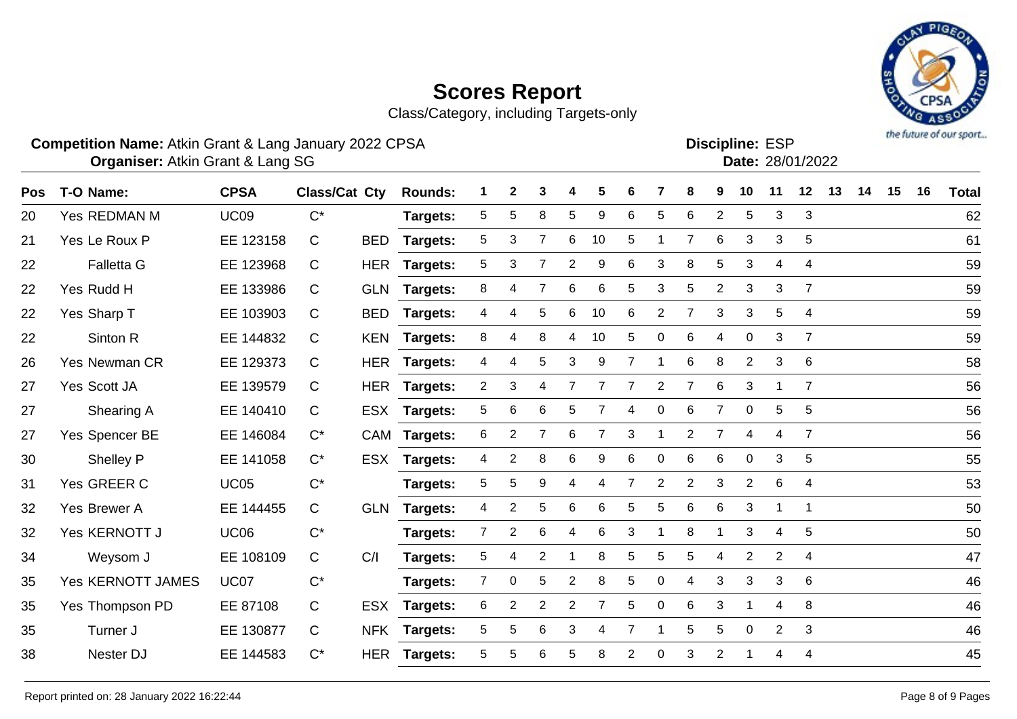Class/Category, including Targets-only

### **Competition Name:** Atkin Grant & Lang January 2022 CPSA **Example 2018** ESP **Discipline:** ESP

Atkin Grant & Lang SG 28/01/2022 **Organiser: Date:**

| Pos | T-O Name:                | <b>CPSA</b> | Class/Cat Cty |            | <b>Rounds:</b>  |                | $\mathbf{2}$   | 3 |                | 5                | 6 |                | 8              | 9              | 10             | 11             | 12             | 13 | 14 | 15 | 16 | <b>Total</b> |
|-----|--------------------------|-------------|---------------|------------|-----------------|----------------|----------------|---|----------------|------------------|---|----------------|----------------|----------------|----------------|----------------|----------------|----|----|----|----|--------------|
| 20  | Yes REDMAN M             | <b>UC09</b> | $C^*$         |            | Targets:        | 5              | 5              | 8 | 5              | $\boldsymbol{9}$ | 6 | 5              | $\,6$          | $\overline{2}$ | 5              | 3              | 3              |    |    |    |    | 62           |
| 21  | Yes Le Roux P            | EE 123158   | C             | <b>BED</b> | Targets:        | 5              | 3              | 7 | 6              | 10               | 5 |                | $\overline{7}$ | 6              | 3              | 3              | 5              |    |    |    |    | 61           |
| 22  | <b>Falletta G</b>        | EE 123968   | $\mathsf{C}$  |            | HER Targets:    | 5              | 3              | 7 | $\overline{2}$ | 9                | 6 | 3              | 8              | 5              | 3              | 4              | 4              |    |    |    |    | 59           |
| 22  | Yes Rudd H               | EE 133986   | $\mathsf{C}$  | <b>GLN</b> | <b>Targets:</b> | 8              | 4              | 7 | 6              | 6                | 5 | 3              | 5              | 2              | 3              | 3              | 7              |    |    |    |    | 59           |
| 22  | Yes Sharp T              | EE 103903   | $\mathsf{C}$  | <b>BED</b> | <b>Targets:</b> | 4              | 4              | 5 | 6              | 10               | 6 | $\overline{2}$ | 7              | 3              | 3              | 5              | 4              |    |    |    |    | 59           |
| 22  | Sinton R                 | EE 144832   | C             | KEN        | <b>Targets:</b> | 8              | 4              | 8 | 4              | 10               | 5 | $\Omega$       | 6              | 4              | $\Omega$       | 3              | $\overline{7}$ |    |    |    |    | 59           |
| 26  | Yes Newman CR            | EE 129373   | C             |            | HER Targets:    | 4              | 4              | 5 | 3              | 9                | 7 |                | 6              | 8              | $\overline{2}$ | 3              | 6              |    |    |    |    | 58           |
| 27  | Yes Scott JA             | EE 139579   | $\mathsf{C}$  | <b>HER</b> | Targets:        | $\overline{a}$ | 3              | 4 |                |                  | 7 | $\overline{2}$ | $\overline{7}$ | 6              | 3              |                | $\overline{7}$ |    |    |    |    | 56           |
| 27  | Shearing A               | EE 140410   | C             | <b>ESX</b> | Targets:        | 5              | 6              | 6 | 5              | 7                | 4 | $\mathbf 0$    | 6              | $\overline{7}$ | 0              | 5              | 5              |    |    |    |    | 56           |
| 27  | Yes Spencer BE           | EE 146084   | $C^*$         |            | CAM Targets:    | 6              | $\overline{2}$ | 7 | 6              | 7                | 3 |                | $\overline{2}$ | 7              | 4              | 4              | $\overline{7}$ |    |    |    |    | 56           |
| 30  | Shelley P                | EE 141058   | $C^*$         | ESX        | <b>Targets:</b> | 4              | $\overline{c}$ | 8 | 6              | 9                | 6 | 0              | 6              | 6              | 0              | 3              | 5              |    |    |    |    | 55           |
| 31  | Yes GREER C              | <b>UC05</b> | $C^*$         |            | Targets:        | 5              | 5              | 9 | 4              | 4                | 7 | $\overline{2}$ | $\overline{2}$ | 3              | $\overline{2}$ | 6              | 4              |    |    |    |    | 53           |
| 32  | Yes Brewer A             | EE 144455   | $\mathsf{C}$  | <b>GLN</b> | Targets:        | 4              | $\overline{c}$ | 5 | 6              | 6                | 5 | 5              | 6              | 6              | 3              | 1              | $\mathbf 1$    |    |    |    |    | 50           |
| 32  | Yes KERNOTT J            | <b>UC06</b> | $C^*$         |            | Targets:        | $7^{\circ}$    | $\overline{2}$ | 6 | 4              | 6                | 3 |                | 8              |                | 3              | 4              | 5              |    |    |    |    | 50           |
| 34  | Weysom J                 | EE 108109   | $\mathsf{C}$  | C/I        | Targets:        | 5              | 4              | 2 |                | 8                | 5 | 5              | 5              | 4              | $\overline{2}$ | $\overline{2}$ | 4              |    |    |    |    | 47           |
| 35  | <b>Yes KERNOTT JAMES</b> | <b>UC07</b> | $C^*$         |            | Targets:        | $\overline{7}$ | 0              | 5 | $\overline{2}$ | 8                | 5 | $\Omega$       | 4              | 3              | 3              | 3              | 6              |    |    |    |    | 46           |
| 35  | Yes Thompson PD          | EE 87108    | C             | <b>ESX</b> | Targets:        | 6              | 2              | 2 | $\overline{2}$ | 7                | 5 | $\Omega$       | 6              | 3              | -1             | 4              | 8              |    |    |    |    | 46           |
| 35  | Turner J                 | EE 130877   | $\mathbf C$   | <b>NFK</b> | <b>Targets:</b> | 5              | 5              | 6 | 3              | 4                | 7 |                | 5              | 5              | 0              | $\overline{2}$ | 3              |    |    |    |    | 46           |
| 38  | Nester DJ                | EE 144583   | $C^*$         | HER        | Targets:        | 5              | 5              | 6 | 5              | 8                | 2 | 0              | 3              | 2              |                | 4              | 4              |    |    |    |    | 45           |